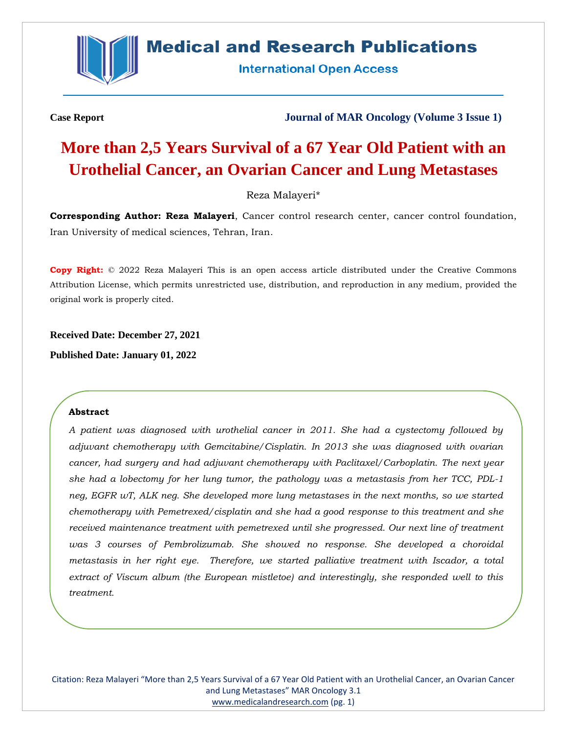

## **Medical and Research Publications**

**International Open Access** 

**Case Report Journal of MAR Oncology (Volume 3 Issue 1)**

# **More than 2,5 Years Survival of a 67 Year Old Patient with an Urothelial Cancer, an Ovarian Cancer and Lung Metastases**

#### Reza Malayeri\*

**Corresponding Author: Reza Malayeri**, Cancer control research center, cancer control foundation, Iran University of medical sciences, Tehran, Iran.

**Copy Right:** © 2022 Reza Malayeri This is an open access article distributed under the Creative Commons Attribution License, which permits unrestricted use, distribution, and reproduction in any medium, provided the original work is properly cited.

**Received Date: December 27, 2021**

**Published Date: January 01, 2022**

#### **Abstract**

*A patient was diagnosed with urothelial cancer in 2011. She had a cystectomy followed by adjuvant chemotherapy with Gemcitabine/Cisplatin. In 2013 she was diagnosed with ovarian cancer, had surgery and had adjuvant chemotherapy with Paclitaxel/Carboplatin. The next year she had a lobectomy for her lung tumor, the pathology was a metastasis from her TCC, PDL-1 neg, EGFR wT, ALK neg. She developed more lung metastases in the next months, so we started chemotherapy with Pemetrexed/cisplatin and she had a good response to this treatment and she received maintenance treatment with pemetrexed until she progressed. Our next line of treatment*  was 3 courses of Pembrolizumab. She showed no response. She developed a choroidal *metastasis in her right eye. Therefore, we started palliative treatment with Iscador, a total extract of Viscum album (the European mistletoe) and interestingly, she responded well to this treatment.* 

Citation: Reza Malayeri "More than 2,5 Years Survival of a 67 Year Old Patient with an Urothelial Cancer, an Ovarian Cancer and Lung Metastases" MAR Oncology 3.1 [www.medicalandresearch.com](http://www.medicalandresearch.com/) (pg. 1)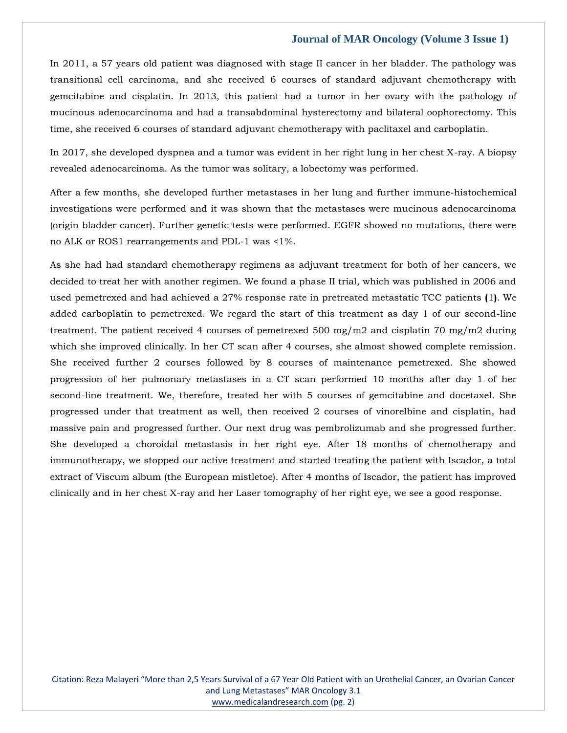In 2011, a 57 years old patient was diagnosed with stage II cancer in her bladder. The pathology was transitional cell carcinoma, and she received 6 courses of standard adjuvant chemotherapy with gemcitabine and cisplatin. In 2013, this patient had a tumor in her ovary with the pathology of mucinous adenocarcinoma and had a transabdominal hysterectomy and bilateral oophorectomy. This time, she received 6 courses of standard adjuvant chemotherapy with paclitaxel and carboplatin.

In 2017, she developed dyspnea and a tumor was evident in her right lung in her chest X-ray. A biopsy revealed adenocarcinoma. As the tumor was solitary, a lobectomy was performed.

After a few months, she developed further metastases in her lung and further immune-histochemical investigations were performed and it was shown that the metastases were mucinous adenocarcinoma (origin bladder cancer). Further genetic tests were performed. EGFR showed no mutations, there were no ALK or ROS1 rearrangements and PDL-1 was <1%.

As she had had standard chemotherapy regimens as adjuvant treatment for both of her cancers, we decided to treat her with another regimen. We found a phase II trial, which was published in 2006 and used pemetrexed and had achieved a 27% response rate in pretreated metastatic TCC patients **(**1**)**. We added carboplatin to pemetrexed. We regard the start of this treatment as day 1 of our second-line treatment. The patient received 4 courses of pemetrexed 500 mg/m2 and cisplatin 70 mg/m2 during which she improved clinically. In her CT scan after 4 courses, she almost showed complete remission. She received further 2 courses followed by 8 courses of maintenance pemetrexed. She showed progression of her pulmonary metastases in a CT scan performed 10 months after day 1 of her second-line treatment. We, therefore, treated her with 5 courses of gemcitabine and docetaxel. She progressed under that treatment as well, then received 2 courses of vinorelbine and cisplatin, had massive pain and progressed further. Our next drug was pembrolizumab and she progressed further. She developed a choroidal metastasis in her right eye. After 18 months of chemotherapy and immunotherapy, we stopped our active treatment and started treating the patient with Iscador, a total extract of Viscum album (the European mistletoe). After 4 months of Iscador, the patient has improved clinically and in her chest X-ray and her Laser tomography of her right eye, we see a good response.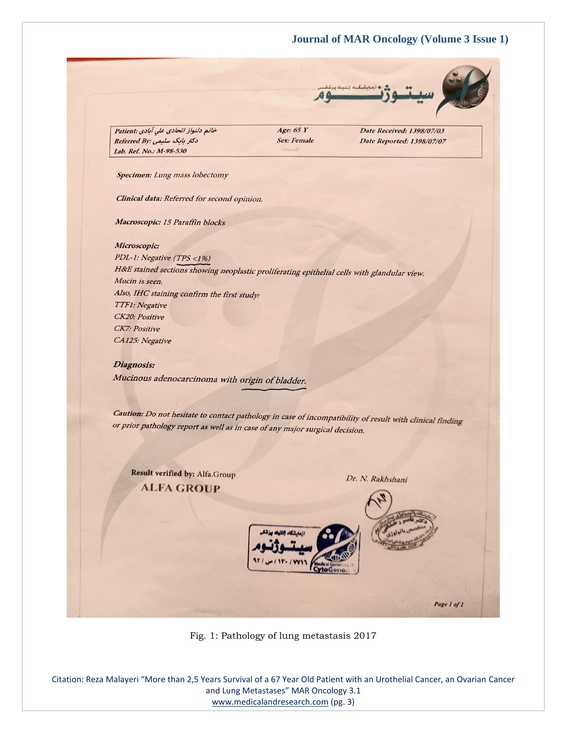

خانم دلنواز اتحادی علی آبادی :Patient دکتر بابک سلیمی:Referred By Lab. Ref. No.: M-98-530

Age:  $65Y$ **Sex: Female**  Date Received: 1398/07/03 Date Reported: 1398/07/07

Specimen: Lung mass lobectomy

Clinical data: Referred for second opinion.

Macroscopic: 15 Paraffin blocks

Microscopic:

PDL-1: Negative (TPS <1%) H&E stained sections showing neoplastic proliferating epithelial cells with glandular view. Mucin is seen. Also, IHC staining confirm the first study: TTF1: Negative CK20: Positive CK7: Positive CA125: Negative

#### Diagnosis:

Mucinous adenocarcinoma with origin of bladder.

Caution: Do not hesitate to contact pathology in case of incompatibility of result with clinical finding or prior pathology report as well as in case of any major surgical decision.

Result verified by: Alfa.Group **ALFA GROUP** 

Dr. N. Rakhshani



Fig. 1: Pathology of lung metastasis 2017

Citation: Reza Malayeri "More than 2,5 Years Survival of a 67 Year Old Patient with an Urothelial Cancer, an Ovarian Cancer and Lung Metastases" MAR Oncology 3.1 [www.medicalandresearch.com](http://www.medicalandresearch.com/) (pg. 3)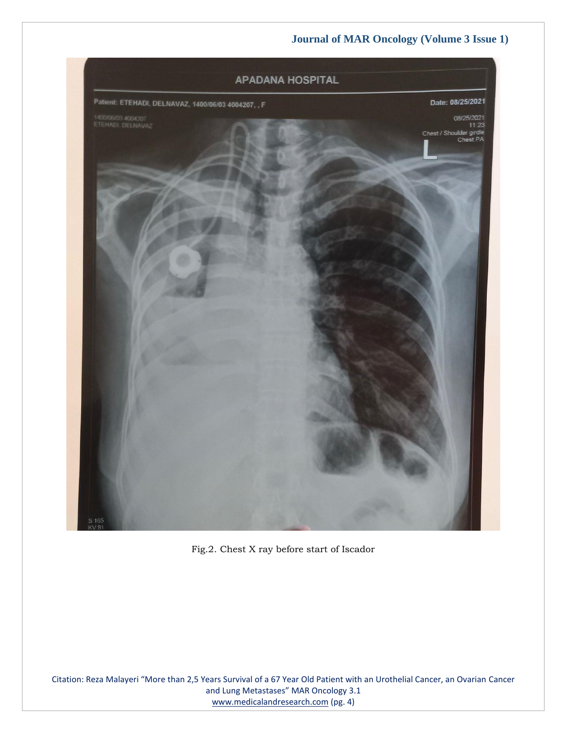

Fig.2. Chest X ray before start of Iscador

Citation: Reza Malayeri "More than 2,5 Years Survival of a 67 Year Old Patient with an Urothelial Cancer, an Ovarian Cancer and Lung Metastases" MAR Oncology 3.1 [www.medicalandresearch.com](http://www.medicalandresearch.com/) (pg. 4)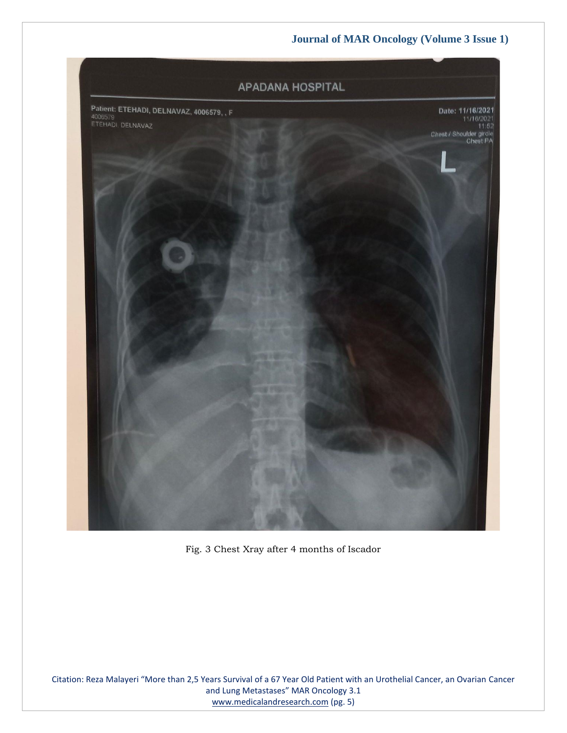

Fig. 3 Chest Xray after 4 months of Iscador

Citation: Reza Malayeri "More than 2,5 Years Survival of a 67 Year Old Patient with an Urothelial Cancer, an Ovarian Cancer and Lung Metastases" MAR Oncology 3.1 [www.medicalandresearch.com](http://www.medicalandresearch.com/) (pg. 5)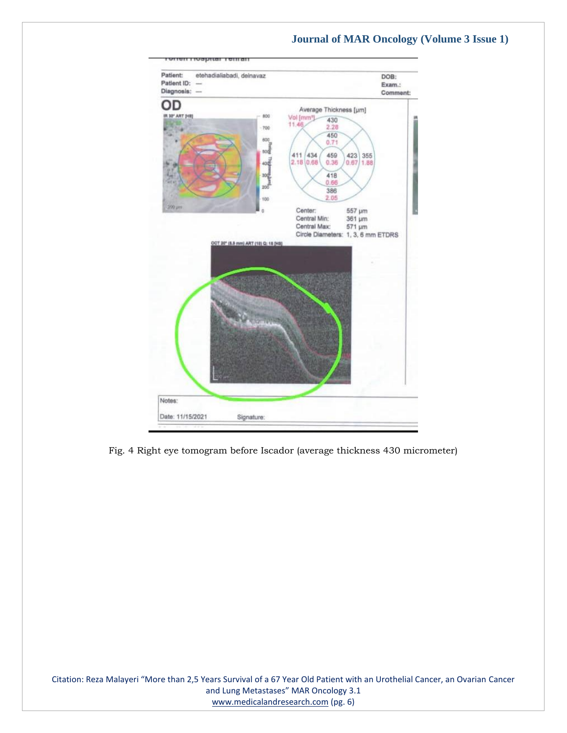

Fig. 4 Right eye tomogram before Iscador (average thickness 430 micrometer)

Citation: Reza Malayeri "More than 2,5 Years Survival of a 67 Year Old Patient with an Urothelial Cancer, an Ovarian Cancer and Lung Metastases" MAR Oncology 3.1 [www.medicalandresearch.com](http://www.medicalandresearch.com/) (pg. 6)